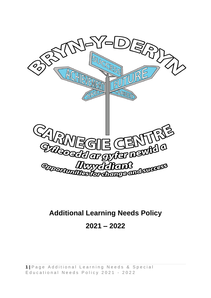

# **Additional Learning Needs Policy 2021 – 2022**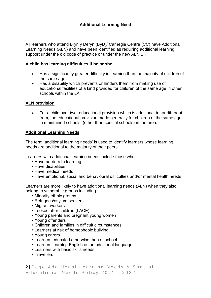## **Additional Learning Need**

All learners who attend Bryn y Deryn (ByD)/ Carnegie Centre (CC) have Additional Learning Needs (ALN) and have been identified as requiring additional learning support under the old code of practice or under the new ALN Bill.

#### **A child has learning difficulties if he or she**

- Has a significantly greater difficulty in learning than the majority of children of the same age
- Has a disability which prevents or hinders them from making use of educational facilities of a kind provided for children of the same age in other schools within the LA

#### **ALN provision**

• For a child over two, educational provision which is additional to, or different from, the educational provision made generally for children of the same age in maintained schools, (other than special schools) in the area.

#### **Additional Learning Needs**

The term 'additional learning needs' is used to identify learners whose learning needs are additional to the majority of their peers.

Learners with additional learning needs include those who:

- Have barriers to learning
- Have disabilities
- Have medical needs
- Have emotional, social and behavioural difficulties and/or mental health needs

Learners are more likely to have additional learning needs (ALN) when they also belong to vulnerable groups including

- Minority ethnic groups
- Refugees/asylum seekers
- Migrant workers
- Looked after children (LACE)
- Young parents and pregnant young women
- Young offenders
- Children and families in difficult circumstances
- Learners at risk of homophobic bullying
- Young carers
- Learners educated otherwise than at school
- Learners learning English as an additional language
- Learners with basic skills needs
- Travellers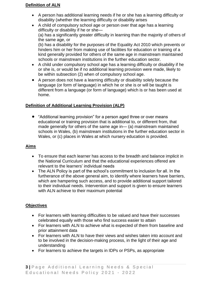#### **Definition of ALN**

- A person has additional learning needs if he or she has a learning difficulty or disability (whether the learning difficulty or disability arises
- A child of compulsory school age or person over that age has a learning difficulty or disability if he or she— (a) has a significantly greater difficulty in learning than the majority of others of the same age, or (b) has a disability for the purposes of the Equality Act 2010 which prevents or hinders him or her from making use of facilities for education or training of a kind generally provided for others of the same age in mainstream maintained schools or mainstream institutions in the further education sector.
- A child under compulsory school age has a learning difficulty or disability if he or she is, or would be if no additional learning provision were made, likely to be within subsection (2) when of compulsory school age.
- A person does not have a learning difficulty or disability solely because the language (or form of language) in which he or she is or will be taught is different from a language (or form of language) which is or has been used at home.

## **Definition of Additional Learning Provision (ALP)**

• "Additional learning provision" for a person aged three or over means educational or training provision that is additional to, or different from, that made generally for others of the same age in— (a) mainstream maintained schools in Wales, (b) mainstream institutions in the further education sector in Wales, or (c) places in Wales at which nursery education is provided.

## **Aims**

- To ensure that each learner has access to the breadth and balance implicit in the National Curriculum and that the educational experiences offered are relevant to the learners' individual needs
- The ALN Policy is part of the school's commitment to inclusion for all. In the furtherance of the above general aim, to identify where learners have barriers, which are hampering such access, and to provide additional support tailored to their individual needs. Intervention and support is given to ensure learners with ALN achieve to their maximum potential

## **Objectives**

- For learners with learning difficulties to be valued and have their successes celebrated equally with those who find success easier to attain
- For learners with ALN to achieve what is expected of them from baseline and prior attainment data
- For learners with ALN to have their views and wishes taken into account and to be involved in the decision-making process, in the light of their age and understanding
- For learners to achieve the targets in IDPs or PSPs, as appropriate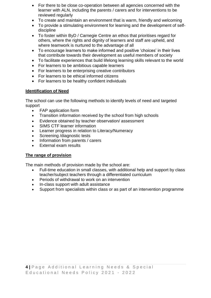- For there to be close co-operation between all agencies concerned with the learner with ALN, including the parents / carers and for interventions to be reviewed regularly
- To create and maintain an environment that is warm, friendly and welcoming
- To provide a stimulating environment for learning and the development of selfdiscipline
- To foster within BvD / Carnegie Centre an ethos that prioritises regard for others, where the rights and dignity of learners and staff are upheld, and where teamwork is nurtured to the advantage of all
- To encourage learners to make informed and positive 'choices' in their lives that contribute towards their development as useful members of society
- To facilitate experiences that build lifelong learning skills relevant to the world
- For learners to be ambitious capable learners
- For learners to be enterprising creative contributors
- For learners to be ethical informed citizens
- For learners to be healthy confident individuals

## **Identification of Need**

The school can use the following methods to identify levels of need and targeted support

- FAP application form
- Transition information received by the school from high schools
- Evidence obtained by teacher observation/ assessment
- SIMS CTF learner information
- Learner progress in relation to Literacy/Numeracy
- Screening /diagnostic tests
- Information from parents / carers
- External exam results

## **The range of provision**

The main methods of provision made by the school are:

- Full-time education in small classes, with additional help and support by class teacher/subject teachers through a differentiated curriculum
- Periods of withdrawal to work on an intervention
- In-class support with adult assistance
- Support from specialists within class or as part of an intervention programme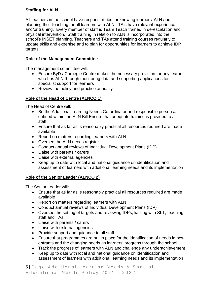## **Staffing for ALN**

All teachers in the school have responsibilities for knowing learners' ALN and planning their teaching for all learners with ALN. TA's have relevant experience and/or training. Every member of staff is Team Teach trained in de-escalation and physical intervention. Staff training in relation to ALN is incorporated into the school's INSET planning. Teachers and TAs attend training courses regularly to update skills and expertise and to plan for opportunities for learners to achieve IDP targets.

## **Role of the Management Committee**

The management committee will:

- Ensure ByD / Carnegie Centre makes the necessary provision for any learner who has ALN through monitoring data and supporting applications for specialist support for learners
- Review the policy and practice annually

## **Role of the Head of Centre (ALNCO 1)**

The Head of Centre will:

- Be the Additional Learning Needs Co-ordinator and responsible person as defined within the ALN Bill Ensure that adequate training is provided to all staff
- Ensure that as far as is reasonably practical all resources required are made available
- Report on matters regarding learners with ALN
- Oversee the ALN needs register
- Conduct annual reviews of Individual Development Plans (IDP)
- Liaise with parents / carers
- Liaise with external agencies
- Keep up to date with local and national guidance on identification and assessment of learners with additional learning needs and its implementation

## **Role of the Senior Leader (ALNCO 2)**

The Senior Leader will:

- Ensure that as far as is reasonably practical all resources required are made available
- Report on matters regarding learners with ALN
- Conduct annual reviews of Individual Development Plans (IDP)
- Oversee the setting of targets and reviewing IDPs, liaising with SLT, teaching staff and TAs
- Liaise with parents / carers
- Liaise with external agencies
- Provide support and quidance to all staff
- Ensure that programmes are put in place for the identification of needs in new entrants and the changing needs as learners' progress through the school
- Track the progress of learners with ALN and challenge any underachievement
- Keep up to date with local and national guidance on identification and assessment of learners with additional learning needs and its implementation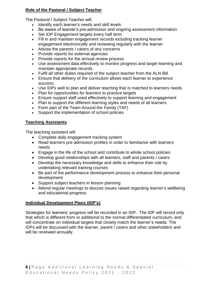## **Role of the Pastoral / Subject Teacher**

The Pastoral / Subject Teacher will:

- Identify each learner's needs and skill levels
- Be aware of learner's pre-admission and ongoing assessment information
- Set IDP Engagement targets every half term
- Fill in and maintain engagement records including tracking learner engagement electronically and reviewing regularly with the learner
- Advise the parents / carers of any concerns
- Provide reports for external agencies
- Provide reports for the annual review process
- Use assessment data effectively to monitor progress and target learning and maintain appropriate records
- Fulfil all other duties required of the subject teacher from the ALN Bill
- Ensure that delivery of the curriculum allows each learner to experience success
- Use IDPs well to plan and deliver teaching that is matched to learners needs
- Plan for opportunities for learners to practice targets
- Ensure support staff used effectively to support learning and engagement
- Plan to support the different learning styles and needs of all learners
- Form part of the Team Around the Family (TAF)
- Support the implementation of school policies

## **Teaching Assistants**

The teaching assistant will:

- Complete daily engagement tracking system
- Read learners pre-admission profiles in order to familiarise with learners needs
- Engage in the life of the school and contribute to whole school policies
- Develop good relationships with all learners, staff and parents / carers
- Develop the necessary knowledge and skills to enhance their role by undertaking relevant training courses
- Be part of the performance development process to enhance their personal development
- Support subject teachers in lesson planning
- Attend regular meetings to discuss issues raised regarding learner's wellbeing and educational progress.

## **Individual Development Plans (IDP's)**

Strategies for learners' progress will be recorded in an IDP. The IDP will record only that which is different from or additional to the normal differentiated curriculum, and will concentrate on individual targets that closely match the learner's needs. The IDPs will be discussed with the learner, parent / carers and other stakeholders and will be reviewed annually.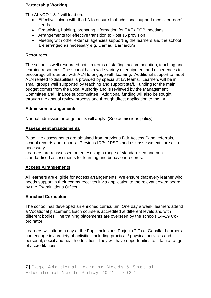#### **Partnership Working**

The ALNCO 1 & 2 will lead on:

- Effective liaison with the LA to ensure that additional support meets learners' needs
- Organising, holding, preparing information for TAF / PCP meetings
- Arrangements for effective transition to Post 16 provision
- Meeting with other external agencies supporting the learners and the school are arranged as necessary e.g. Llamau, Barnardo's

## **Resources**

The school is well resourced both in terms of staffing, accommodation, teaching and learning resources. The school has a wide variety of equipment and experiences to encourage all learners with ALN to engage with learning. Additional support to meet ALN related to disabilities is provided by specialist LA teams. Learners will be in small groups well supported by teaching and support staff. Funding for the main budget comes from the Local Authority and is reviewed by the Management Committee and Finance subcommittee. Additional funding will also be sought through the annual review process and through direct application to the LA.

#### **Admission arrangements**

Normal admission arrangements will apply. (See admissions policy)

#### **Assessment arrangements**

Base line assessments are obtained from previous Fair Access Panel referrals, school records and reports. Previous IDPs / PSPs and risk assessments are also necessary.

Learners are reassessed on entry using a range of standardised and nonstandardised assessments for learning and behaviour records.

## **Access Arrangements**

All learners are eligible for access arrangements. We ensure that every learner who needs support in their exams receives it via application to the relevant exam board by the Examinations Officer.

## **Enriched Curriculum**

The school has developed an enriched curriculum. One day a week, learners attend a Vocational placement. Each course is accredited at different levels and with different bodies. The training placements are overseen by the schools 14–19 Coordinator.

Learners will attend a day at the Pupil Inclusions Project (PIP) at Gabalfa. Learners can engage in a variety of activities including practical / physical activities and personal, social and health education. They will have opportunities to attain a range of accreditations.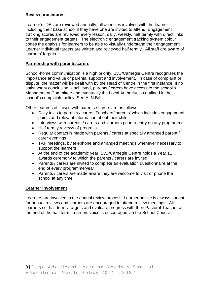#### **Review procedures**

Learner's IDPs are reviewed annually; all agencies involved with the learner including their base school if they have one are invited to attend. Engagement tracking scores are reviewed every lesson, daily, weekly, half termly with direct links to their engagement targets. The electronic engagement tracking system colour codes the analysis for learners to be able to visually understand their engagement. Learner individual targets are written and reviewed half termly. All staff are aware of learners' targets.

## **Partnership with parents/carers**

School-home communication is a high priority. ByD/Carnegie Centre recognises the importance and value of parental support and involvement. In case of complaint or dispute, the matter will be dealt with by the Head of Centre in the first instance. If no satisfactory conclusion is achieved, parents / carers have access to the school's Management Committee and eventually the Local Authority, as outlined in the school's complaints policy. See ALN Bill

Other features of liaison with parents / carers are as follows:

- Daily texts to parents / carers 'Teachers2parents' which includes engagement points and relevant information about their child
- Interviews with parents / carers and learners prior to entry on any programme
- Half termly reviews of progress
- Regular contact is made with parents / carers at specially arranged parent / carer evenings
- TAF meetings, by telephone and arranged meetings whenever necessary to support the learners
- At the end of the academic year, ByD/Carnegie Centre holds a Year 11 awards ceremony to which the parents / carers are invited
- Parents / carers are invited to complete an evaluation questionnaire at the end of every programme/year
- Parents / carers are made aware they are welcome to visit or phone the school at any time

## **Learner involvement**

Learners are involved in the annual review process. Learner advice is always sought for annual reviews and learners are encouraged to attend review meetings. All learners set half termly targets and evaluate progress with their Pastoral Teacher at the end of the half term. Learners voice is encouraged via the School Council.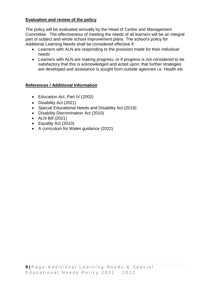## **Evaluation and review of the policy**

The policy will be evaluated annually by the Head of Centre and Management Committee. The effectiveness of meeting the needs of all learners will be an integral part of subject and whole school improvement plans. The school's policy for Additional Learning Needs shall be considered effective if:

- Learners with ALN are responding to the provision made for their individual needs
- Learners with ALN are making progress, or if progress is not considered to be satisfactory that this is acknowledged and acted upon; that further strategies are developed and assistance is sought from outside agencies i.e. Health etc

## **References / Additional Information**

- Education Act, Part IV (2002)
- Disability Act (2021)
- Special Educational Needs and Disability Act (2018)
- Disability Discrimination Act (2010)
- ALN Bill (2021)
- Equality Act (2010)
- A curriculum for Wales guidance (2022)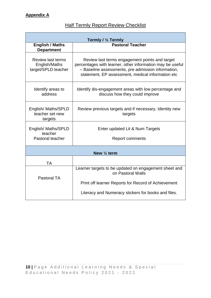## **Half Termly Report Review Checklist**

| Termly / 1/2 Termly                                              |                                                                                                                                                                                                                        |
|------------------------------------------------------------------|------------------------------------------------------------------------------------------------------------------------------------------------------------------------------------------------------------------------|
| <b>English / Maths</b><br><b>Department</b>                      | <b>Pastoral Teacher</b>                                                                                                                                                                                                |
| <b>Review last terms</b><br>English/Maths<br>target/SPLD teacher | Review last terms engagement points and target<br>percentages with learner, other information may be useful<br>- Baseline assessments, pre admission information,<br>statement, EP assessment, medical information etc |
| Identify areas to<br>address                                     | Identify dis-engagement areas with low percentage and<br>discuss how they could improve                                                                                                                                |
| English/ Maths/SPLD<br>teacher set new<br>targets                | Review previous targets and if necessary, Identity new<br>targets                                                                                                                                                      |
| English/ Maths/SPLD<br>teacher<br>Pastoral teacher               | Enter updated Lit & Num Targets<br><b>Report comments</b>                                                                                                                                                              |
| New $\frac{1}{2}$ term                                           |                                                                                                                                                                                                                        |
| ТA                                                               |                                                                                                                                                                                                                        |
| <b>Pastoral TA</b>                                               | Learner targets to be updated on engagement sheet and<br>on Pastoral Walls<br>Print off learner Reports for Record of Achievement                                                                                      |
|                                                                  | Literacy and Numeracy stickers for books and files.                                                                                                                                                                    |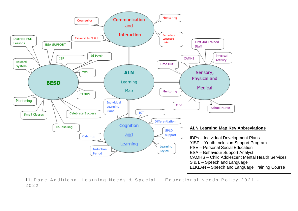

**11** | Page Additional Learning Needs & Special Educational Needs Policy 2021 -2 0 2 2